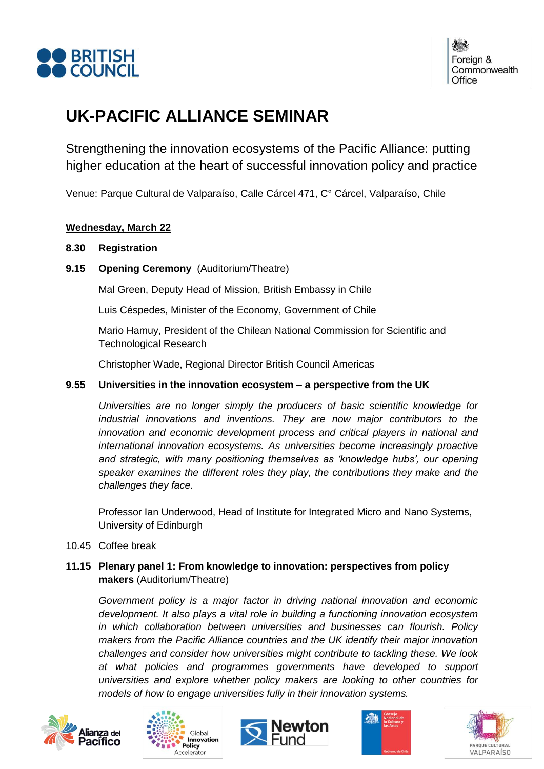

Foreign & Commonwealth Office

# **UK-PACIFIC ALLIANCE SEMINAR**

Strengthening the innovation ecosystems of the Pacific Alliance: putting higher education at the heart of successful innovation policy and practice

Venue: Parque Cultural de Valparaíso, Calle Cárcel 471, C° Cárcel, Valparaíso, Chile

## **Wednesday, March 22**

### **8.30 Registration**

**9.15 Opening Ceremony** (Auditorium/Theatre)

Mal Green, Deputy Head of Mission, British Embassy in Chile

Luis Céspedes, Minister of the Economy, Government of Chile

Mario Hamuy, President of the Chilean National Commission for Scientific and Technological Research

Christopher Wade, Regional Director British Council Americas

## **9.55 Universities in the innovation ecosystem – a perspective from the UK**

*Universities are no longer simply the producers of basic scientific knowledge for industrial innovations and inventions. They are now major contributors to the innovation and economic development process and critical players in national and international innovation ecosystems. As universities become increasingly proactive and strategic, with many positioning themselves as 'knowledge hubs', our opening speaker examines the different roles they play, the contributions they make and the challenges they face*.

Professor Ian Underwood, Head of Institute for Integrated Micro and Nano Systems, University of Edinburgh

10.45 Coffee break

# **11.15 Plenary panel 1: From knowledge to innovation: perspectives from policy makers** (Auditorium/Theatre)

*Government policy is a major factor in driving national innovation and economic development. It also plays a vital role in building a functioning innovation ecosystem in which collaboration between universities and businesses can flourish. Policy makers from the Pacific Alliance countries and the UK identify their major innovation challenges and consider how universities might contribute to tackling these. We look at what policies and programmes governments have developed to support universities and explore whether policy makers are looking to other countries for models of how to engage universities fully in their innovation systems.*









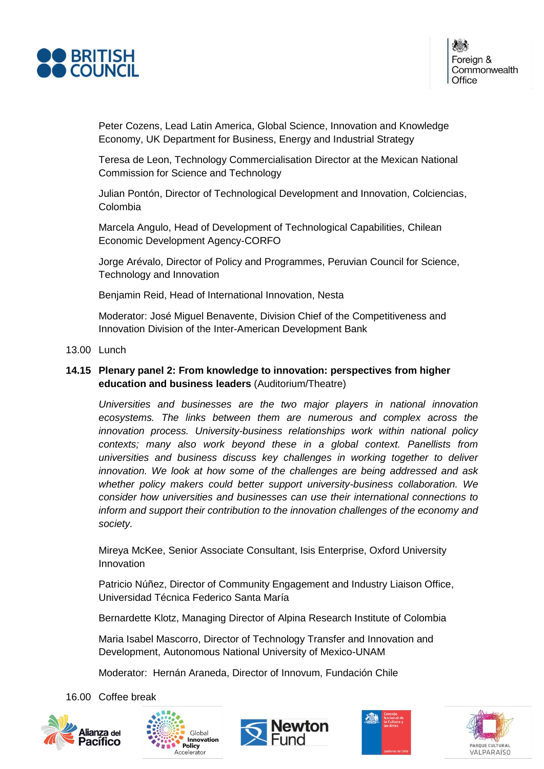

Peter Cozens, Lead Latin America, Global Science, Innovation and Knowledge Economy, UK Department for Business, Energy and Industrial Strategy

Teresa de Leon, Technology Commercialisation Director at the Mexican National Commission for Science and Technology

Julian Pontón, Director of Technological Development and Innovation, Colciencias, Colombia

Marcela Angulo, Head of Development of Technological Capabilities, Chilean Economic Development Agency-CORFO

Jorge Arévalo, Director of Policy and Programmes, Peruvian Council for Science, Technology and Innovation

Benjamin Reid, Head of International Innovation, Nesta

Moderator: José Miguel Benavente, Division Chief of the Competitiveness and Innovation Division of the Inter-American Development Bank

#### 13.00 Lunch

## **14.15 Plenary panel 2: From knowledge to innovation: perspectives from higher education and business leaders** (Auditorium/Theatre)

*Universities and businesses are the two major players in national innovation ecosystems. The links between them are numerous and complex across the innovation process. University-business relationships work within national policy contexts; many also work beyond these in a global context. Panellists from universities and business discuss key challenges in working together to deliver innovation. We look at how some of the challenges are being addressed and ask whether policy makers could better support university-business collaboration. We consider how universities and businesses can use their international connections to inform and support their contribution to the innovation challenges of the economy and society.*

Mireya McKee, Senior Associate Consultant, Isis Enterprise, Oxford University Innovation

Patricio Núñez, Director of Community Engagement and Industry Liaison Office, Universidad Técnica Federico Santa María

Bernardette Klotz, Managing Director of Alpina Research Institute of Colombia

Maria Isabel Mascorro, Director of Technology Transfer and Innovation and Development, Autonomous National University of Mexico-UNAM

Moderator: Hernán Araneda, Director of Innovum, Fundación Chile

16.00 Coffee break









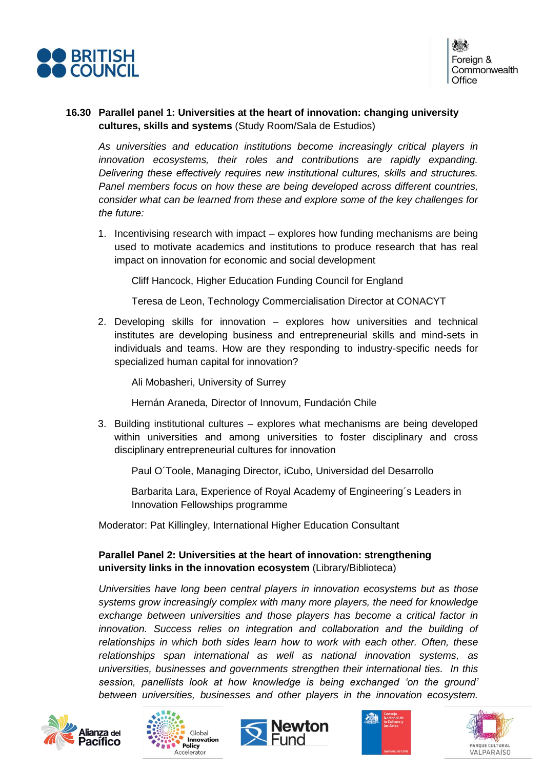

## **16.30 Parallel panel 1: Universities at the heart of innovation: changing university cultures, skills and systems** (Study Room/Sala de Estudios)

*As universities and education institutions become increasingly critical players in innovation ecosystems, their roles and contributions are rapidly expanding. Delivering these effectively requires new institutional cultures, skills and structures. Panel members focus on how these are being developed across different countries, consider what can be learned from these and explore some of the key challenges for the future:*

1. Incentivising research with impact – explores how funding mechanisms are being used to motivate academics and institutions to produce research that has real impact on innovation for economic and social development

Cliff Hancock, Higher Education Funding Council for England

Teresa de Leon, Technology Commercialisation Director at CONACYT

2. Developing skills for innovation – explores how universities and technical institutes are developing business and entrepreneurial skills and mind-sets in individuals and teams. How are they responding to industry-specific needs for specialized human capital for innovation?

Ali Mobasheri, University of Surrey

Hernán Araneda, Director of Innovum, Fundación Chile

3. Building institutional cultures – explores what mechanisms are being developed within universities and among universities to foster disciplinary and cross disciplinary entrepreneurial cultures for innovation

Paul O´Toole, Managing Director, iCubo, Universidad del Desarrollo

Barbarita Lara, Experience of Royal Academy of Engineering´s Leaders in Innovation Fellowships programme

Moderator: Pat Killingley, International Higher Education Consultant

# **Parallel Panel 2: Universities at the heart of innovation: strengthening university links in the innovation ecosystem** (Library/Biblioteca)

*Universities have long been central players in innovation ecosystems but as those systems grow increasingly complex with many more players, the need for knowledge exchange between universities and those players has become a critical factor in innovation. Success relies on integration and collaboration and the building of relationships in which both sides learn how to work with each other. Often, these relationships span international as well as national innovation systems, as universities, businesses and governments strengthen their international ties. In this session, panellists look at how knowledge is being exchanged 'on the ground' between universities, businesses and other players in the innovation ecosystem.* 









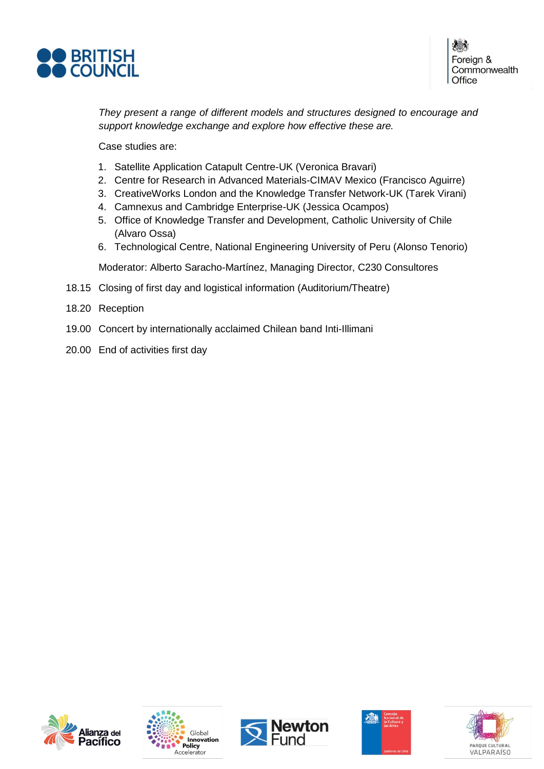

Foreign & Commonwealth Office

*They present a range of different models and structures designed to encourage and support knowledge exchange and explore how effective these are.* 

Case studies are:

- 1. Satellite Application Catapult Centre-UK (Veronica Bravari)
- 2. Centre for Research in Advanced Materials-CIMAV Mexico (Francisco Aguirre)
- 3. CreativeWorks London and the Knowledge Transfer Network-UK (Tarek Virani)
- 4. Camnexus and Cambridge Enterprise-UK (Jessica Ocampos)
- 5. Office of Knowledge Transfer and Development, Catholic University of Chile (Alvaro Ossa)
- 6. Technological Centre, National Engineering University of Peru (Alonso Tenorio)

Moderator: Alberto Saracho-Martínez, Managing Director, C230 Consultores

- 18.15 Closing of first day and logistical information (Auditorium/Theatre)
- 18.20 Reception
- 19.00 Concert by internationally acclaimed Chilean band Inti-Illimani
- 20.00 End of activities first day









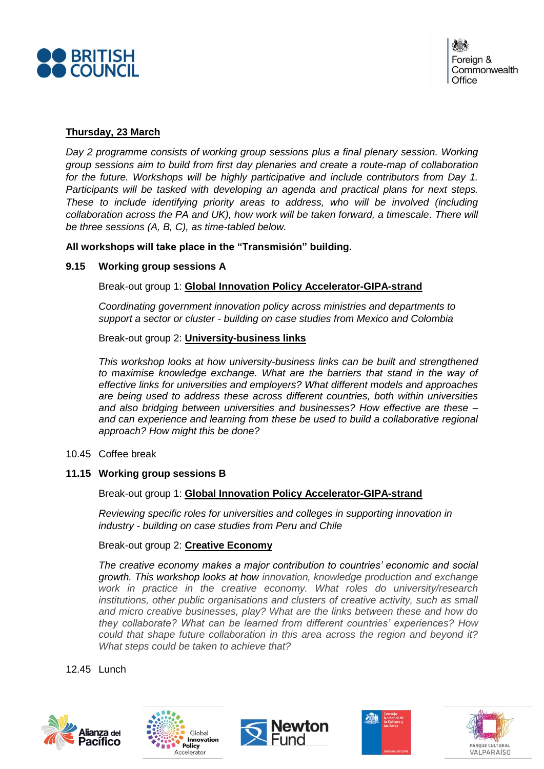

# **Thursday, 23 March**

*Day 2 programme consists of working group sessions plus a final plenary session. Working group sessions aim to build from first day plenaries and create a route-map of collaboration for the future. Workshops will be highly participative and include contributors from Day 1. Participants will be tasked with developing an agenda and practical plans for next steps. These to include identifying priority areas to address, who will be involved (including collaboration across the PA and UK), how work will be taken forward, a timescale*. *There will be three sessions (A, B, C), as time-tabled below.*

## **All workshops will take place in the "Transmisión" building.**

### **9.15 Working group sessions A**

Break-out group 1: **Global Innovation Policy Accelerator-GIPA-strand**

*Coordinating government innovation policy across ministries and departments to support a sector or cluster - building on case studies from Mexico and Colombia*

Break-out group 2: **University-business links**

*This workshop looks at how university-business links can be built and strengthened to maximise knowledge exchange. What are the barriers that stand in the way of effective links for universities and employers? What different models and approaches are being used to address these across different countries, both within universities and also bridging between universities and businesses? How effective are these – and can experience and learning from these be used to build a collaborative regional approach? How might this be done?*

10.45 Coffee break

# **11.15 Working group sessions B**

Break-out group 1: **Global Innovation Policy Accelerator-GIPA-strand**

*Reviewing specific roles for universities and colleges in supporting innovation in industry - building on case studies from Peru and Chile*

## Break-out group 2: **Creative Economy**

*The creative economy makes a major contribution to countries' economic and social growth. This workshop looks at how innovation, knowledge production and exchange work in practice in the creative economy. What roles do university/research institutions, other public organisations and clusters of creative activity, such as small and micro creative businesses, play? What are the links between these and how do they collaborate? What can be learned from different countries' experiences? How could that shape future collaboration in this area across the region and beyond it? What steps could be taken to achieve that?*

12.45 Lunch